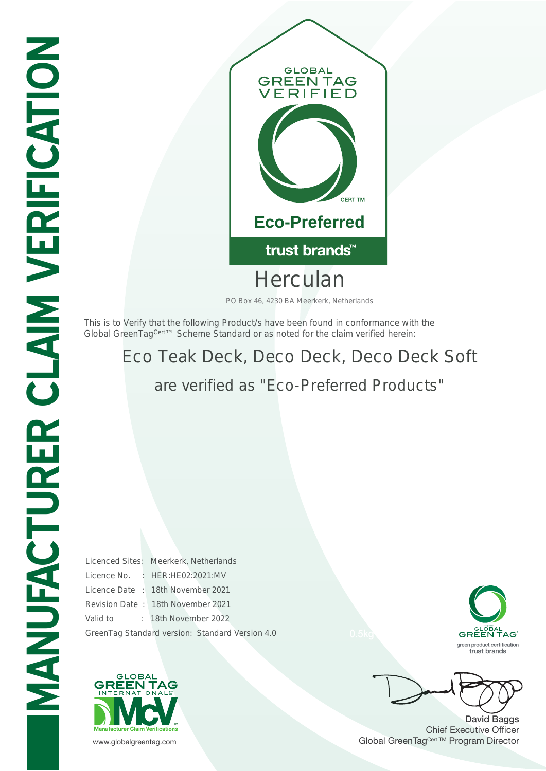

Herculan

PO Box 46, 4230 BA Meerkerk, Netherlands

This is to Verify that the following Product/s have been found in conformance with the Global GreenTag<sup>Cert™</sup> Scheme Standard or as noted for the claim verified herein:

## Eco Teak Deck, Deco Deck, Deco Deck Soft are verified as "Eco-Preferred Products"

Licenced Sites: Meerkerk, Netherlands Licence No. : HER:HE02:2021:MV Licence Date : 18th November 2021 Revision Date : 18th November 2021 Valid to : 18th November 2022 GreenTag Standard version: Standard Version 4.0





David Baggs Chief Executive Officer www.globalgreentag.com **Program Director** Clobal GreenTag<sup>Cert TM</sup> Program Director